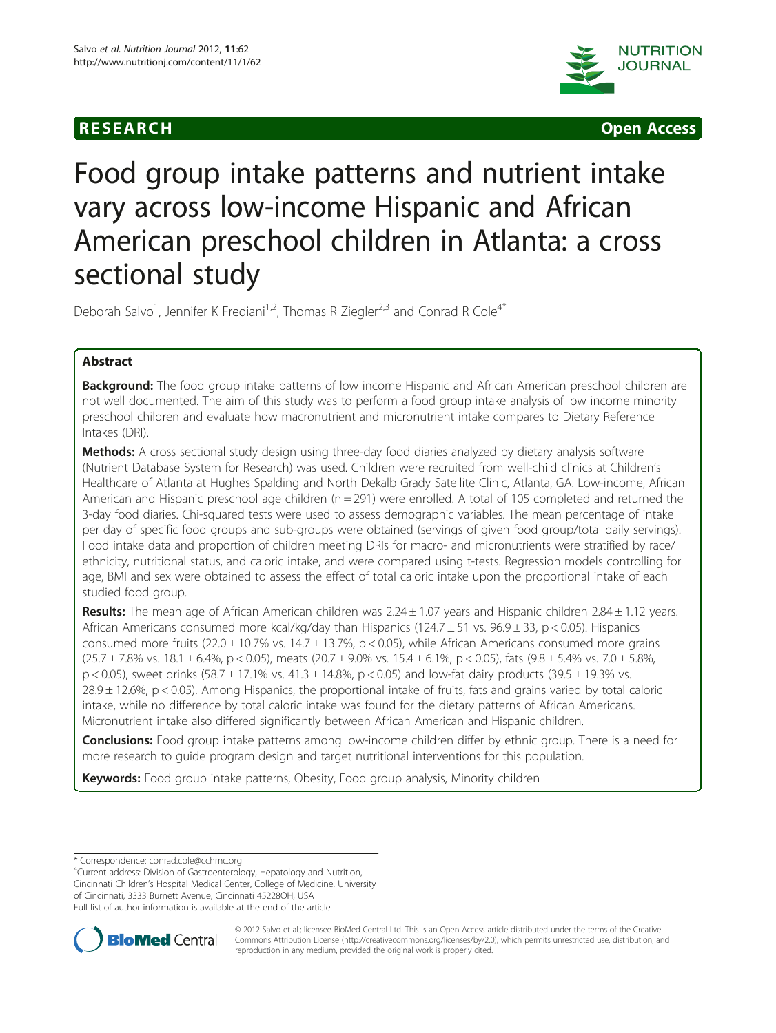





# Food group intake patterns and nutrient intake vary across low-income Hispanic and African American preschool children in Atlanta: a cross sectional study

Deborah Salvo<sup>1</sup>, Jennifer K Frediani<sup>1,2</sup>, Thomas R Ziegler<sup>2,3</sup> and Conrad R Cole<sup>4\*</sup>

## Abstract

**Background:** The food group intake patterns of low income Hispanic and African American preschool children are not well documented. The aim of this study was to perform a food group intake analysis of low income minority preschool children and evaluate how macronutrient and micronutrient intake compares to Dietary Reference Intakes (DRI).

Methods: A cross sectional study design using three-day food diaries analyzed by dietary analysis software (Nutrient Database System for Research) was used. Children were recruited from well-child clinics at Children's Healthcare of Atlanta at Hughes Spalding and North Dekalb Grady Satellite Clinic, Atlanta, GA. Low-income, African American and Hispanic preschool age children (n = 291) were enrolled. A total of 105 completed and returned the 3-day food diaries. Chi-squared tests were used to assess demographic variables. The mean percentage of intake per day of specific food groups and sub-groups were obtained (servings of given food group/total daily servings). Food intake data and proportion of children meeting DRIs for macro- and micronutrients were stratified by race/ ethnicity, nutritional status, and caloric intake, and were compared using t-tests. Regression models controlling for age, BMI and sex were obtained to assess the effect of total caloric intake upon the proportional intake of each studied food group.

Results: The mean age of African American children was  $2.24 \pm 1.07$  years and Hispanic children  $2.84 \pm 1.12$  years. African Americans consumed more kcal/kg/day than Hispanics (124.7 ± 51 vs. 96.9 ± 33, p < 0.05). Hispanics consumed more fruits ( $22.0 \pm 10.7\%$  vs.  $14.7 \pm 13.7\%$ ,  $p < 0.05$ ), while African Americans consumed more grains  $(25.7 \pm 7.8\% \text{ vs. } 18.1 \pm 6.4\%, \text{ p} < 0.05)$ , meats  $(20.7 \pm 9.0\% \text{ vs. } 15.4 \pm 6.1\%, \text{ p} < 0.05)$ , fats  $(9.8 \pm 5.4\% \text{ vs. } 7.0 \pm 5.8\%, \text{ p} < 0.05)$  $p$  < 0.05), sweet drinks (58.7  $\pm$  17.1% vs. 41.3  $\pm$  14.8%, p < 0.05) and low-fat dairy products (39.5  $\pm$  19.3% vs. 28.9 ± 12.6%, p < 0.05). Among Hispanics, the proportional intake of fruits, fats and grains varied by total caloric intake, while no difference by total caloric intake was found for the dietary patterns of African Americans. Micronutrient intake also differed significantly between African American and Hispanic children.

Conclusions: Food group intake patterns among low-income children differ by ethnic group. There is a need for more research to guide program design and target nutritional interventions for this population.

Keywords: Food group intake patterns, Obesity, Food group analysis, Minority children

\* Correspondence: [conrad.cole@cchmc.org](mailto:conrad.cole@cchmc.org) <sup>4</sup>

Current address: Division of Gastroenterology, Hepatology and Nutrition, Cincinnati Children's Hospital Medical Center, College of Medicine, University of Cincinnati, 3333 Burnett Avenue, Cincinnati 45228OH, USA Full list of author information is available at the end of the article



© 2012 Salvo et al.; licensee BioMed Central Ltd. This is an Open Access article distributed under the terms of the Creative Commons Attribution License [\(http://creativecommons.org/licenses/by/2.0\)](http://creativecommons.org/licenses/by/2.0), which permits unrestricted use, distribution, and reproduction in any medium, provided the original work is properly cited.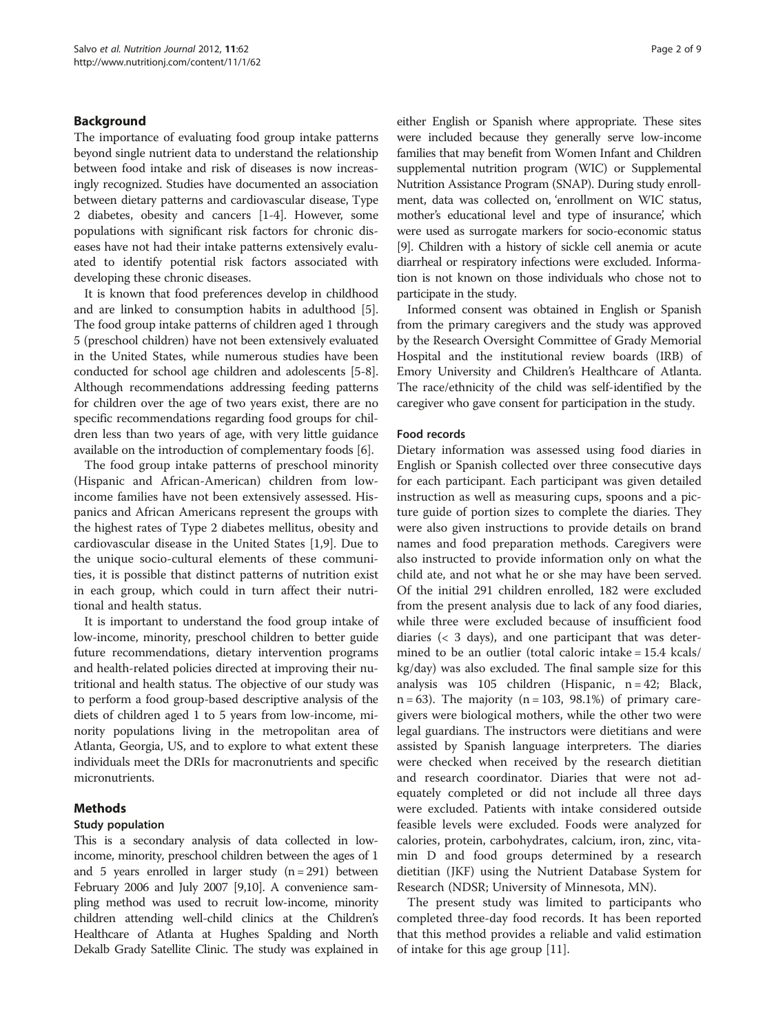## Background

The importance of evaluating food group intake patterns beyond single nutrient data to understand the relationship between food intake and risk of diseases is now increasingly recognized. Studies have documented an association between dietary patterns and cardiovascular disease, Type 2 diabetes, obesity and cancers [[1-4\]](#page-7-0). However, some populations with significant risk factors for chronic diseases have not had their intake patterns extensively evaluated to identify potential risk factors associated with developing these chronic diseases.

It is known that food preferences develop in childhood and are linked to consumption habits in adulthood [[5](#page-7-0)]. The food group intake patterns of children aged 1 through 5 (preschool children) have not been extensively evaluated in the United States, while numerous studies have been conducted for school age children and adolescents [\[5](#page-7-0)-[8](#page-7-0)]. Although recommendations addressing feeding patterns for children over the age of two years exist, there are no specific recommendations regarding food groups for children less than two years of age, with very little guidance available on the introduction of complementary foods [\[6\]](#page-7-0).

The food group intake patterns of preschool minority (Hispanic and African-American) children from lowincome families have not been extensively assessed. Hispanics and African Americans represent the groups with the highest rates of Type 2 diabetes mellitus, obesity and cardiovascular disease in the United States [[1,9\]](#page-7-0). Due to the unique socio-cultural elements of these communities, it is possible that distinct patterns of nutrition exist in each group, which could in turn affect their nutritional and health status.

It is important to understand the food group intake of low-income, minority, preschool children to better guide future recommendations, dietary intervention programs and health-related policies directed at improving their nutritional and health status. The objective of our study was to perform a food group-based descriptive analysis of the diets of children aged 1 to 5 years from low-income, minority populations living in the metropolitan area of Atlanta, Georgia, US, and to explore to what extent these individuals meet the DRIs for macronutrients and specific micronutrients.

## Methods

## Study population

This is a secondary analysis of data collected in lowincome, minority, preschool children between the ages of 1 and 5 years enrolled in larger study  $(n = 291)$  between February 2006 and July 2007 [\[9,10](#page-7-0)]. A convenience sampling method was used to recruit low-income, minority children attending well-child clinics at the Children's Healthcare of Atlanta at Hughes Spalding and North Dekalb Grady Satellite Clinic. The study was explained in

either English or Spanish where appropriate. These sites were included because they generally serve low-income families that may benefit from Women Infant and Children supplemental nutrition program (WIC) or Supplemental Nutrition Assistance Program (SNAP). During study enrollment, data was collected on, 'enrollment on WIC status, mother's educational level and type of insurance', which were used as surrogate markers for socio-economic status [[9](#page-7-0)]. Children with a history of sickle cell anemia or acute diarrheal or respiratory infections were excluded. Information is not known on those individuals who chose not to participate in the study.

Informed consent was obtained in English or Spanish from the primary caregivers and the study was approved by the Research Oversight Committee of Grady Memorial Hospital and the institutional review boards (IRB) of Emory University and Children's Healthcare of Atlanta. The race/ethnicity of the child was self-identified by the caregiver who gave consent for participation in the study.

## Food records

Dietary information was assessed using food diaries in English or Spanish collected over three consecutive days for each participant. Each participant was given detailed instruction as well as measuring cups, spoons and a picture guide of portion sizes to complete the diaries. They were also given instructions to provide details on brand names and food preparation methods. Caregivers were also instructed to provide information only on what the child ate, and not what he or she may have been served. Of the initial 291 children enrolled, 182 were excluded from the present analysis due to lack of any food diaries, while three were excluded because of insufficient food diaries (< 3 days), and one participant that was determined to be an outlier (total caloric intake = 15.4 kcals/ kg/day) was also excluded. The final sample size for this analysis was 105 children (Hispanic, n = 42; Black,  $n = 63$ ). The majority ( $n = 103$ , 98.1%) of primary caregivers were biological mothers, while the other two were legal guardians. The instructors were dietitians and were assisted by Spanish language interpreters. The diaries were checked when received by the research dietitian and research coordinator. Diaries that were not adequately completed or did not include all three days were excluded. Patients with intake considered outside feasible levels were excluded. Foods were analyzed for calories, protein, carbohydrates, calcium, iron, zinc, vitamin D and food groups determined by a research dietitian (JKF) using the Nutrient Database System for Research (NDSR; University of Minnesota, MN).

The present study was limited to participants who completed three-day food records. It has been reported that this method provides a reliable and valid estimation of intake for this age group [\[11](#page-7-0)].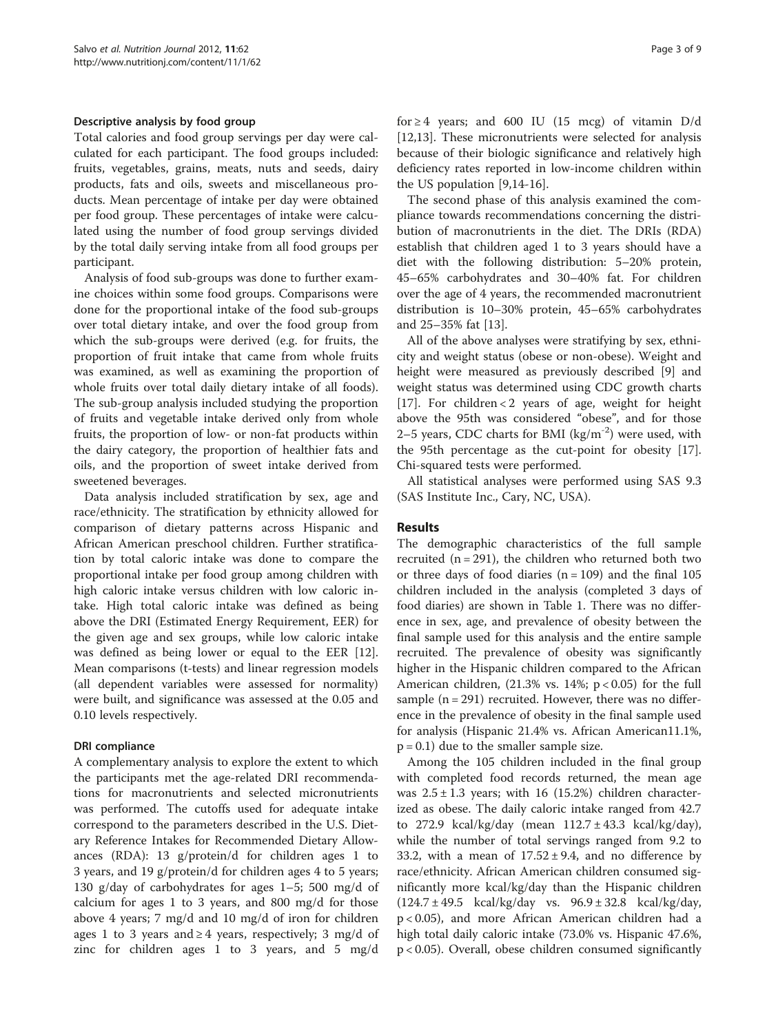## Descriptive analysis by food group

Total calories and food group servings per day were calculated for each participant. The food groups included: fruits, vegetables, grains, meats, nuts and seeds, dairy products, fats and oils, sweets and miscellaneous products. Mean percentage of intake per day were obtained per food group. These percentages of intake were calculated using the number of food group servings divided by the total daily serving intake from all food groups per participant.

Analysis of food sub-groups was done to further examine choices within some food groups. Comparisons were done for the proportional intake of the food sub-groups over total dietary intake, and over the food group from which the sub-groups were derived (e.g. for fruits, the proportion of fruit intake that came from whole fruits was examined, as well as examining the proportion of whole fruits over total daily dietary intake of all foods). The sub-group analysis included studying the proportion of fruits and vegetable intake derived only from whole fruits, the proportion of low- or non-fat products within the dairy category, the proportion of healthier fats and oils, and the proportion of sweet intake derived from sweetened beverages.

Data analysis included stratification by sex, age and race/ethnicity. The stratification by ethnicity allowed for comparison of dietary patterns across Hispanic and African American preschool children. Further stratification by total caloric intake was done to compare the proportional intake per food group among children with high caloric intake versus children with low caloric intake. High total caloric intake was defined as being above the DRI (Estimated Energy Requirement, EER) for the given age and sex groups, while low caloric intake was defined as being lower or equal to the EER [\[12](#page-7-0)]. Mean comparisons (t-tests) and linear regression models (all dependent variables were assessed for normality) were built, and significance was assessed at the 0.05 and 0.10 levels respectively.

## DRI compliance

A complementary analysis to explore the extent to which the participants met the age-related DRI recommendations for macronutrients and selected micronutrients was performed. The cutoffs used for adequate intake correspond to the parameters described in the U.S. Dietary Reference Intakes for Recommended Dietary Allowances (RDA): 13 g/protein/d for children ages 1 to 3 years, and 19 g/protein/d for children ages 4 to 5 years; 130 g/day of carbohydrates for ages 1–5; 500 mg/d of calcium for ages 1 to 3 years, and 800 mg/d for those above 4 years; 7 mg/d and 10 mg/d of iron for children ages 1 to 3 years and  $\geq$  4 years, respectively; 3 mg/d of zinc for children ages 1 to 3 years, and 5 mg/d

[[12,13\]](#page-7-0). These micronutrients were selected for analysis because of their biologic significance and relatively high deficiency rates reported in low-income children within the US population [[9,14-](#page-7-0)[16](#page-8-0)].

The second phase of this analysis examined the compliance towards recommendations concerning the distribution of macronutrients in the diet. The DRIs (RDA) establish that children aged 1 to 3 years should have a diet with the following distribution: 5–20% protein, 45–65% carbohydrates and 30–40% fat. For children over the age of 4 years, the recommended macronutrient distribution is 10–30% protein, 45–65% carbohydrates and 25–35% fat [[13](#page-7-0)].

All of the above analyses were stratifying by sex, ethnicity and weight status (obese or non-obese). Weight and height were measured as previously described [[9](#page-7-0)] and weight status was determined using CDC growth charts [[17\]](#page-8-0). For children < 2 years of age, weight for height above the 95th was considered "obese", and for those 2–5 years, CDC charts for BMI ( $\text{kg/m}^{-2}$ ) were used, with the 95th percentage as the cut-point for obesity [\[17](#page-8-0)]. Chi-squared tests were performed.

All statistical analyses were performed using SAS 9.3 (SAS Institute Inc., Cary, NC, USA).

## Results

The demographic characteristics of the full sample recruited  $(n = 291)$ , the children who returned both two or three days of food diaries  $(n = 109)$  and the final 105 children included in the analysis (completed 3 days of food diaries) are shown in Table [1.](#page-3-0) There was no difference in sex, age, and prevalence of obesity between the final sample used for this analysis and the entire sample recruited. The prevalence of obesity was significantly higher in the Hispanic children compared to the African American children,  $(21.3\% \text{ vs. } 14\%; \text{ p} < 0.05)$  for the full sample  $(n = 291)$  recruited. However, there was no difference in the prevalence of obesity in the final sample used for analysis (Hispanic 21.4% vs. African American11.1%,  $p = 0.1$ ) due to the smaller sample size.

Among the 105 children included in the final group with completed food records returned, the mean age was  $2.5 \pm 1.3$  years; with 16 (15.2%) children characterized as obese. The daily caloric intake ranged from 42.7 to 272.9 kcal/kg/day (mean  $112.7 \pm 43.3$  kcal/kg/day), while the number of total servings ranged from 9.2 to 33.2, with a mean of  $17.52 \pm 9.4$ , and no difference by race/ethnicity. African American children consumed significantly more kcal/kg/day than the Hispanic children (124.7 ± 49.5 kcal/kg/day vs. 96.9 ± 32.8 kcal/kg/day, p < 0.05), and more African American children had a high total daily caloric intake (73.0% vs. Hispanic 47.6%, p < 0.05). Overall, obese children consumed significantly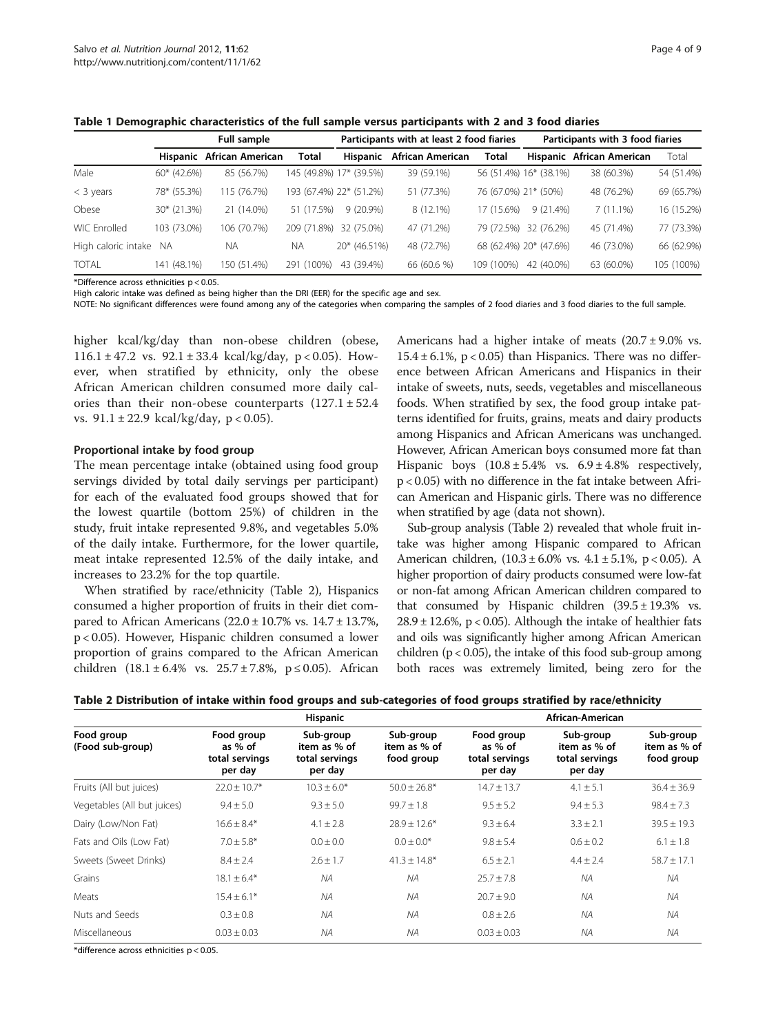<span id="page-3-0"></span>Table 1 Demographic characteristics of the full sample versus participants with 2 and 3 food diaries

|                     | Full sample   |                           |              | Participants with at least 2 food fiaries |                  |                      | Participants with 3 food fiaries |                           |            |
|---------------------|---------------|---------------------------|--------------|-------------------------------------------|------------------|----------------------|----------------------------------|---------------------------|------------|
|                     |               | Hispanic African American | <b>Total</b> | <b>Hispanic</b>                           | African American | <b>Total</b>         |                                  | Hispanic African American | Total      |
| Male                | $60* (42.6%)$ | 85 (56.7%)                |              | 145 (49.8%) 17* (39.5%)                   | 39 (59.1%)       |                      | 56 (51.4%) 16* (38.1%)           | 38 (60.3%)                | 54 (51.4%) |
| $<$ 3 years         | 78* (55.3%)   | 115 (76.7%)               |              | 193 (67.4%) 22* (51.2%)                   | 51 (77.3%)       | 76 (67.0%) 21* (50%) |                                  | 48 (76.2%)                | 69 (65.7%) |
| Obese               | $30*(21.3%)$  | 21 (14.0%)                | 51 (17.5%)   | $9(20.9\%)$                               | 8 (12.1%)        | 17 (15.6%)           | 9(21.4%)                         | $7(11.1\%)$               | 16 (15.2%) |
| WIC Enrolled        | 103 (73.0%)   | 106 (70.7%)               | 209 (71.8%)  | 32 (75.0%)                                | 47 (71.2%)       | 79 (72.5%)           | 32 (76.2%)                       | 45 (71.4%)                | 77 (73.3%) |
| High caloric intake | NA.           | <b>NA</b>                 | <b>NA</b>    | $20* (46.51%)$                            | 48 (72.7%)       |                      | 68 (62.4%) 20* (47.6%)           | 46 (73.0%)                | 66 (62.9%) |
| <b>TOTAL</b>        | 141 (48.1%)   | 150 (51.4%)               | 291 (100%)   | 43 (39.4%)                                | 66 (60.6 %)      | 109 (100%)           | 42 (40.0%)                       | 63 (60.0%)                | 105 (100%) |

\*Difference across ethnicities p < 0.05.

High caloric intake was defined as being higher than the DRI (EER) for the specific age and sex.

NOTE: No significant differences were found among any of the categories when comparing the samples of 2 food diaries and 3 food diaries to the full sample.

higher kcal/kg/day than non-obese children (obese, 116.1  $\pm$  47.2 vs. 92.1  $\pm$  33.4 kcal/kg/day, p < 0.05). However, when stratified by ethnicity, only the obese African American children consumed more daily calories than their non-obese counterparts  $(127.1 \pm 52.4$ vs.  $91.1 \pm 22.9$  kcal/kg/day, p < 0.05).

#### Proportional intake by food group

The mean percentage intake (obtained using food group servings divided by total daily servings per participant) for each of the evaluated food groups showed that for the lowest quartile (bottom 25%) of children in the study, fruit intake represented 9.8%, and vegetables 5.0% of the daily intake. Furthermore, for the lower quartile, meat intake represented 12.5% of the daily intake, and increases to 23.2% for the top quartile.

When stratified by race/ethnicity (Table 2), Hispanics consumed a higher proportion of fruits in their diet compared to African Americans  $(22.0 \pm 10.7\% \text{ vs. } 14.7 \pm 13.7\%$ , p < 0.05). However, Hispanic children consumed a lower proportion of grains compared to the African American children  $(18.1 \pm 6.4\% \text{ vs. } 25.7 \pm 7.8\% \text{, } p \le 0.05)$ . African

Americans had a higher intake of meats  $(20.7 \pm 9.0\%$  vs.  $15.4 \pm 6.1\%$ , p < 0.05) than Hispanics. There was no difference between African Americans and Hispanics in their intake of sweets, nuts, seeds, vegetables and miscellaneous foods. When stratified by sex, the food group intake patterns identified for fruits, grains, meats and dairy products among Hispanics and African Americans was unchanged. However, African American boys consumed more fat than Hispanic boys  $(10.8 \pm 5.4\% \text{ vs. } 6.9 \pm 4.8\% \text{ respectively.})$ p < 0.05) with no difference in the fat intake between African American and Hispanic girls. There was no difference when stratified by age (data not shown).

Sub-group analysis (Table 2) revealed that whole fruit intake was higher among Hispanic compared to African American children,  $(10.3 \pm 6.0\% \text{ vs. } 4.1 \pm 5.1\%, \text{ p} < 0.05)$ . A higher proportion of dairy products consumed were low-fat or non-fat among African American children compared to that consumed by Hispanic children  $(39.5 \pm 19.3\%$  vs.  $28.9 \pm 12.6$ %, p < 0.05). Although the intake of healthier fats and oils was significantly higher among African American children ( $p < 0.05$ ), the intake of this food sub-group among both races was extremely limited, being zero for the

|                                |                                                    | <b>Hispanic</b>                                        |                                         |                                                    | African-American                                       |                                         |
|--------------------------------|----------------------------------------------------|--------------------------------------------------------|-----------------------------------------|----------------------------------------------------|--------------------------------------------------------|-----------------------------------------|
| Food group<br>(Food sub-group) | Food group<br>as % of<br>total servings<br>per day | Sub-group<br>item as % of<br>total servings<br>per day | Sub-group<br>item as % of<br>food group | Food group<br>as % of<br>total servings<br>per day | Sub-group<br>item as % of<br>total servings<br>per day | Sub-group<br>item as % of<br>food group |
| Fruits (All but juices)        | $22.0 \pm 10.7*$                                   | $10.3 \pm 6.0*$                                        | $50.0 \pm 26.8*$                        | $14.7 \pm 13.7$                                    | $4.1 \pm 5.1$                                          | $36.4 \pm 36.9$                         |
| Vegetables (All but juices)    | $9.4 + 5.0$                                        | $9.3 \pm 5.0$                                          | $99.7 + 1.8$                            | $9.5 + 5.2$                                        | $9.4 + 5.3$                                            | $98.4 + 7.3$                            |
| Dairy (Low/Non Fat)            | $16.6 + 8.4*$                                      | $4.1 \pm 2.8$                                          | $78.9 + 12.6*$                          | $9.3 \pm 6.4$                                      | $3.3 \pm 2.1$                                          | $39.5 \pm 19.3$                         |
| Fats and Oils (Low Fat)        | $7.0 + 5.8*$                                       | $0.0 + 0.0$                                            | $0.0 + 0.0*$                            | $9.8 + 5.4$                                        | $0.6 + 0.2$                                            | $6.1 \pm 1.8$                           |
| Sweets (Sweet Drinks)          | $8.4 + 2.4$                                        | $2.6 + 1.7$                                            | $41.3 \pm 14.8^*$                       | $6.5 + 2.1$                                        | $4.4 + 2.4$                                            | $58.7 + 17.1$                           |
| Grains                         | $18.1 \pm 6.4*$                                    | NA                                                     | ΝA                                      | $25.7 \pm 7.8$                                     | ΝA                                                     | ΝA                                      |
| Meats                          | $15.4 + 6.1*$                                      | NA                                                     | <b>NA</b>                               | $20.7 + 9.0$                                       | <b>NA</b>                                              | <b>NA</b>                               |
| Nuts and Seeds                 | $0.3 + 0.8$                                        | <b>NA</b>                                              | <b>NA</b>                               | $0.8 + 2.6$                                        | <b>NA</b>                                              | <b>NA</b>                               |
| Miscellaneous                  | $0.03 \pm 0.03$                                    | ΝA                                                     | ΝA                                      | $0.03 \pm 0.03$                                    | ΝA                                                     | <b>NA</b>                               |

Table 2 Distribution of intake within food groups and sub-categories of food groups stratified by race/ethnicity

\*difference across ethnicities p < 0.05.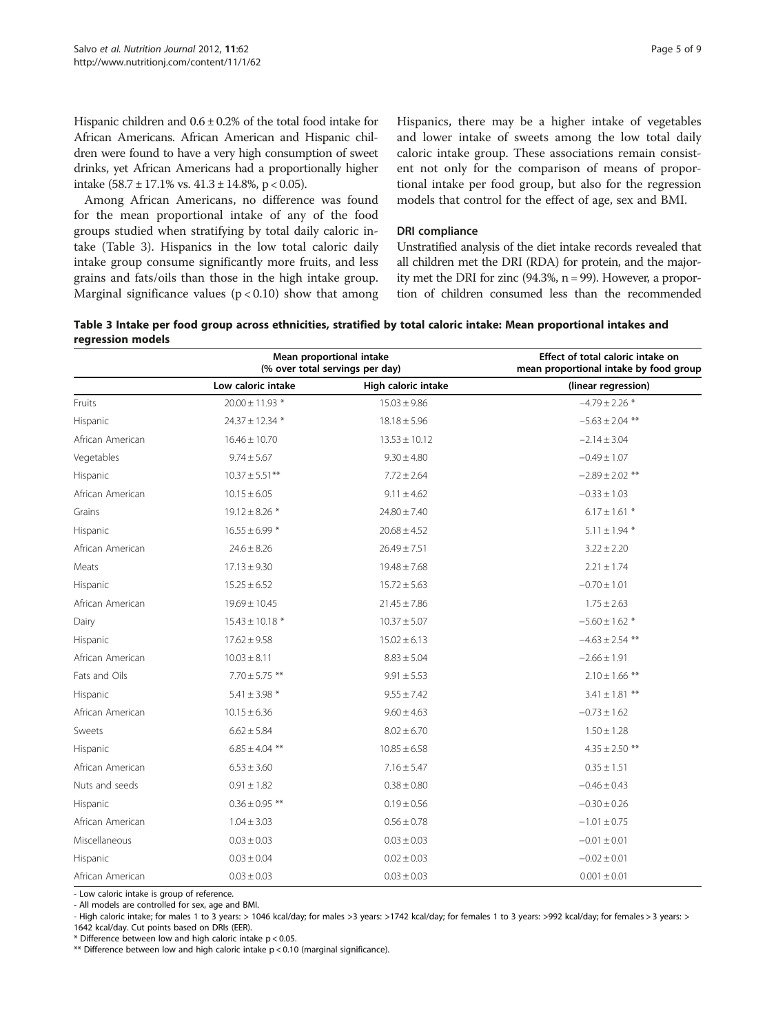Hispanic children and  $0.6 \pm 0.2\%$  of the total food intake for African Americans. African American and Hispanic children were found to have a very high consumption of sweet drinks, yet African Americans had a proportionally higher intake  $(58.7 \pm 17.1\% \text{ vs. } 41.3 \pm 14.8\%, \text{ p} < 0.05)$ .

Among African Americans, no difference was found for the mean proportional intake of any of the food groups studied when stratifying by total daily caloric intake (Table 3). Hispanics in the low total caloric daily intake group consume significantly more fruits, and less grains and fats/oils than those in the high intake group. Marginal significance values  $(p < 0.10)$  show that among Hispanics, there may be a higher intake of vegetables and lower intake of sweets among the low total daily caloric intake group. These associations remain consistent not only for the comparison of means of proportional intake per food group, but also for the regression models that control for the effect of age, sex and BMI.

## DRI compliance

Unstratified analysis of the diet intake records revealed that all children met the DRI (RDA) for protein, and the majority met the DRI for zinc  $(94.3\%, n=99)$ . However, a proportion of children consumed less than the recommended

|                   |  |  | Table 3 Intake per food group across ethnicities, stratified by total caloric intake: Mean proportional intakes and |
|-------------------|--|--|---------------------------------------------------------------------------------------------------------------------|
| regression models |  |  |                                                                                                                     |

|                  | Mean proportional intake<br>(% over total servings per day) |                     | Effect of total caloric intake on<br>mean proportional intake by food group |
|------------------|-------------------------------------------------------------|---------------------|-----------------------------------------------------------------------------|
|                  | Low caloric intake                                          | High caloric intake | (linear regression)                                                         |
| Fruits           | $20.00 \pm 11.93$ *                                         | $15.03 \pm 9.86$    | $-4.79 \pm 2.26$ *                                                          |
| Hispanic         | 24.37 ± 12.34 *                                             | $18.18 \pm 5.96$    | $-5.63 \pm 2.04$ **                                                         |
| African American | $16.46 \pm 10.70$                                           | $13.53 \pm 10.12$   | $-2.14 \pm 3.04$                                                            |
| Vegetables       | $9.74 \pm 5.67$                                             | $9.30 \pm 4.80$     | $-0.49 \pm 1.07$                                                            |
| Hispanic         | $10.37 \pm 5.51***$                                         | $7.72 \pm 2.64$     | $-2.89 \pm 2.02$ **                                                         |
| African American | $10.15 \pm 6.05$                                            | $9.11 \pm 4.62$     | $-0.33 \pm 1.03$                                                            |
| Grains           | $19.12 \pm 8.26$ *                                          | $24.80 \pm 7.40$    | $6.17 \pm 1.61$ *                                                           |
| Hispanic         | $16.55 \pm 6.99$ *                                          | $20.68 \pm 4.52$    | $5.11 \pm 1.94$ *                                                           |
| African American | $24.6 \pm 8.26$                                             | $26.49 \pm 7.51$    | $3.22 \pm 2.20$                                                             |
| Meats            | $17.13 \pm 9.30$                                            | $19.48 \pm 7.68$    | $2.21 \pm 1.74$                                                             |
| Hispanic         | $15.25 \pm 6.52$                                            | $15.72 \pm 5.63$    | $-0.70 \pm 1.01$                                                            |
| African American | $19.69 \pm 10.45$                                           | $21.45 \pm 7.86$    | $1.75 \pm 2.63$                                                             |
| Dairy            | $15.43 \pm 10.18$ *                                         | $10.37 \pm 5.07$    | $-5.60 \pm 1.62$ *                                                          |
| Hispanic         | $17.62 \pm 9.58$                                            | $15.02 \pm 6.13$    | $-4.63 \pm 2.54$ **                                                         |
| African American | $10.03 \pm 8.11$                                            | $8.83 \pm 5.04$     | $-2.66 \pm 1.91$                                                            |
| Fats and Oils    | $7.70 \pm 5.75$ **                                          | $9.91 \pm 5.53$     | $2.10 \pm 1.66$ **                                                          |
| Hispanic         | 5.41 $\pm$ 3.98 $*$                                         | $9.55 \pm 7.42$     | $3.41 \pm 1.81$ **                                                          |
| African American | $10.15 \pm 6.36$                                            | $9.60 \pm 4.63$     | $-0.73 \pm 1.62$                                                            |
| Sweets           | $6.62 \pm 5.84$                                             | $8.02 \pm 6.70$     | $1.50 \pm 1.28$                                                             |
| Hispanic         | $6.85 \pm 4.04$ **                                          | $10.85 \pm 6.58$    | $4.35 \pm 2.50$ **                                                          |
| African American | $6.53 \pm 3.60$                                             | $7.16 \pm 5.47$     | $0.35 \pm 1.51$                                                             |
| Nuts and seeds   | $0.91 \pm 1.82$                                             | $0.38 \pm 0.80$     | $-0.46 \pm 0.43$                                                            |
| Hispanic         | $0.36 \pm 0.95$ **                                          | $0.19 \pm 0.56$     | $-0.30 \pm 0.26$                                                            |
| African American | $1.04 \pm 3.03$                                             | $0.56 \pm 0.78$     | $-1.01 \pm 0.75$                                                            |
| Miscellaneous    | $0.03 \pm 0.03$                                             | $0.03 \pm 0.03$     | $-0.01 \pm 0.01$                                                            |
| Hispanic         | $0.03 \pm 0.04$                                             | $0.02 \pm 0.03$     | $-0.02 \pm 0.01$                                                            |
| African American | $0.03 \pm 0.03$                                             | $0.03 \pm 0.03$     | $0.001 \pm 0.01$                                                            |

- Low caloric intake is group of reference.

- All models are controlled for sex, age and BMI.

- High caloric intake; for males 1 to 3 years: > 1046 kcal/day; for males >3 years: >1742 kcal/day; for females 1 to 3 years: >992 kcal/day; for females > 3 years: >

1642 kcal/day. Cut points based on DRIs (EER).  $*$  Difference between low and high caloric intake  $p < 0.05$ .

\*\* Difference between low and high caloric intake p < 0.10 (marginal significance).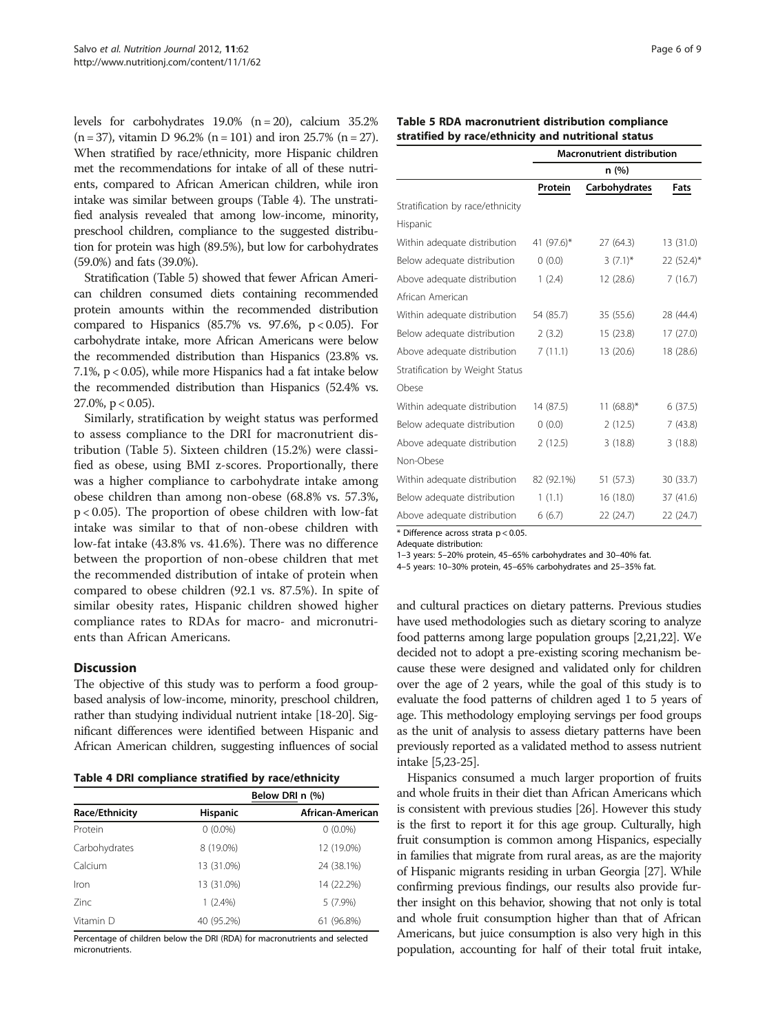levels for carbohydrates  $19.0\%$  (n = 20), calcium 35.2%  $(n = 37)$ , vitamin D 96.2%  $(n = 101)$  and iron 25.7%  $(n = 27)$ . When stratified by race/ethnicity, more Hispanic children met the recommendations for intake of all of these nutrients, compared to African American children, while iron intake was similar between groups (Table 4). The unstratified analysis revealed that among low-income, minority, preschool children, compliance to the suggested distribution for protein was high (89.5%), but low for carbohydrates (59.0%) and fats (39.0%).

Stratification (Table 5) showed that fewer African American children consumed diets containing recommended protein amounts within the recommended distribution compared to Hispanics (85.7% vs. 97.6%,  $p < 0.05$ ). For carbohydrate intake, more African Americans were below the recommended distribution than Hispanics (23.8% vs. 7.1%, p < 0.05), while more Hispanics had a fat intake below the recommended distribution than Hispanics (52.4% vs.  $27.0\%$ , p < 0.05).

Similarly, stratification by weight status was performed to assess compliance to the DRI for macronutrient distribution (Table 5). Sixteen children (15.2%) were classified as obese, using BMI z-scores. Proportionally, there was a higher compliance to carbohydrate intake among obese children than among non-obese (68.8% vs. 57.3%, p < 0.05). The proportion of obese children with low-fat intake was similar to that of non-obese children with low-fat intake (43.8% vs. 41.6%). There was no difference between the proportion of non-obese children that met the recommended distribution of intake of protein when compared to obese children (92.1 vs. 87.5%). In spite of similar obesity rates, Hispanic children showed higher compliance rates to RDAs for macro- and micronutrients than African Americans.

## **Discussion**

The objective of this study was to perform a food groupbased analysis of low-income, minority, preschool children, rather than studying individual nutrient intake [\[18-20](#page-8-0)]. Significant differences were identified between Hispanic and African American children, suggesting influences of social

|  | Table 4 DRI compliance stratified by race/ethnicity |  |  |  |  |
|--|-----------------------------------------------------|--|--|--|--|
|--|-----------------------------------------------------|--|--|--|--|

|                | Below DRI n (%) |                  |  |  |
|----------------|-----------------|------------------|--|--|
| Race/Ethnicity | <b>Hispanic</b> | African-American |  |  |
| Protein        | $0(0.0\%)$      | $0(0.0\%)$       |  |  |
| Carbohydrates  | 8 (19.0%)       | 12 (19.0%)       |  |  |
| Calcium        | 13 (31.0%)      | 24 (38.1%)       |  |  |
| Iron           | 13 (31.0%)      | 14 (22.2%)       |  |  |
| Zinc.          | $1(2.4\%)$      | $5(7.9\%)$       |  |  |
| Vitamin D      | 40 (95.2%)      | 61 (96.8%)       |  |  |

Percentage of children below the DRI (RDA) for macronutrients and selected micronutrients.

| Table 5 RDA macronutrient distribution compliance   |  |
|-----------------------------------------------------|--|
| stratified by race/ethnicity and nutritional status |  |

|                                  | <b>Macronutrient distribution</b> |               |            |  |  |
|----------------------------------|-----------------------------------|---------------|------------|--|--|
|                                  | n (%)                             |               |            |  |  |
|                                  | Protein                           | Carbohydrates | Fats       |  |  |
| Stratification by race/ethnicity |                                   |               |            |  |  |
| Hispanic                         |                                   |               |            |  |  |
| Within adequate distribution     | 41 (97.6)*                        | 27(64.3)      | 13 (31.0)  |  |  |
| Below adequate distribution      | 0(0.0)                            | $3(7.1)^{*}$  | 22 (52.4)* |  |  |
| Above adequate distribution      | 1(2.4)                            | 12 (28.6)     | 7(16.7)    |  |  |
| African American                 |                                   |               |            |  |  |
| Within adequate distribution     | 54 (85.7)                         | 35 (55.6)     | 28 (44.4)  |  |  |
| Below adequate distribution      | 2(3.2)                            | 15 (23.8)     | 17 (27.0)  |  |  |
| Above adequate distribution      | 7(11.1)                           | 13 (20.6)     | 18 (28.6)  |  |  |
| Stratification by Weight Status  |                                   |               |            |  |  |
| Obese                            |                                   |               |            |  |  |
| Within adequate distribution     | 14 (87.5)                         | 11 $(68.8)^*$ | 6(37.5)    |  |  |
| Below adequate distribution      | 0(0.0)                            | 2(12.5)       | 7(43.8)    |  |  |
| Above adequate distribution      | 2(12.5)                           | 3(18.8)       | 3(18.8)    |  |  |
| Non-Obese                        |                                   |               |            |  |  |
| Within adequate distribution     | 82 (92.1%)                        | 51 (57.3)     | 30 (33.7)  |  |  |
| Below adequate distribution      | 1(1.1)                            | 16 (18.0)     | 37(41.6)   |  |  |
| Above adequate distribution      | 6(6.7)                            | 22 (24.7)     | 22 (24.7)  |  |  |

\* Difference across strata p < 0.05.

Adequate distribution:

1–3 years: 5–20% protein, 45–65% carbohydrates and 30–40% fat.

4–5 years: 10–30% protein, 45–65% carbohydrates and 25–35% fat.

and cultural practices on dietary patterns. Previous studies have used methodologies such as dietary scoring to analyze food patterns among large population groups [\[2,](#page-7-0)[21,22\]](#page-8-0). We decided not to adopt a pre-existing scoring mechanism because these were designed and validated only for children over the age of 2 years, while the goal of this study is to evaluate the food patterns of children aged 1 to 5 years of age. This methodology employing servings per food groups as the unit of analysis to assess dietary patterns have been previously reported as a validated method to assess nutrient intake [\[5,](#page-7-0)[23](#page-8-0)-[25](#page-8-0)].

Hispanics consumed a much larger proportion of fruits and whole fruits in their diet than African Americans which is consistent with previous studies [[26](#page-8-0)]. However this study is the first to report it for this age group. Culturally, high fruit consumption is common among Hispanics, especially in families that migrate from rural areas, as are the majority of Hispanic migrants residing in urban Georgia [\[27\]](#page-8-0). While confirming previous findings, our results also provide further insight on this behavior, showing that not only is total and whole fruit consumption higher than that of African Americans, but juice consumption is also very high in this population, accounting for half of their total fruit intake,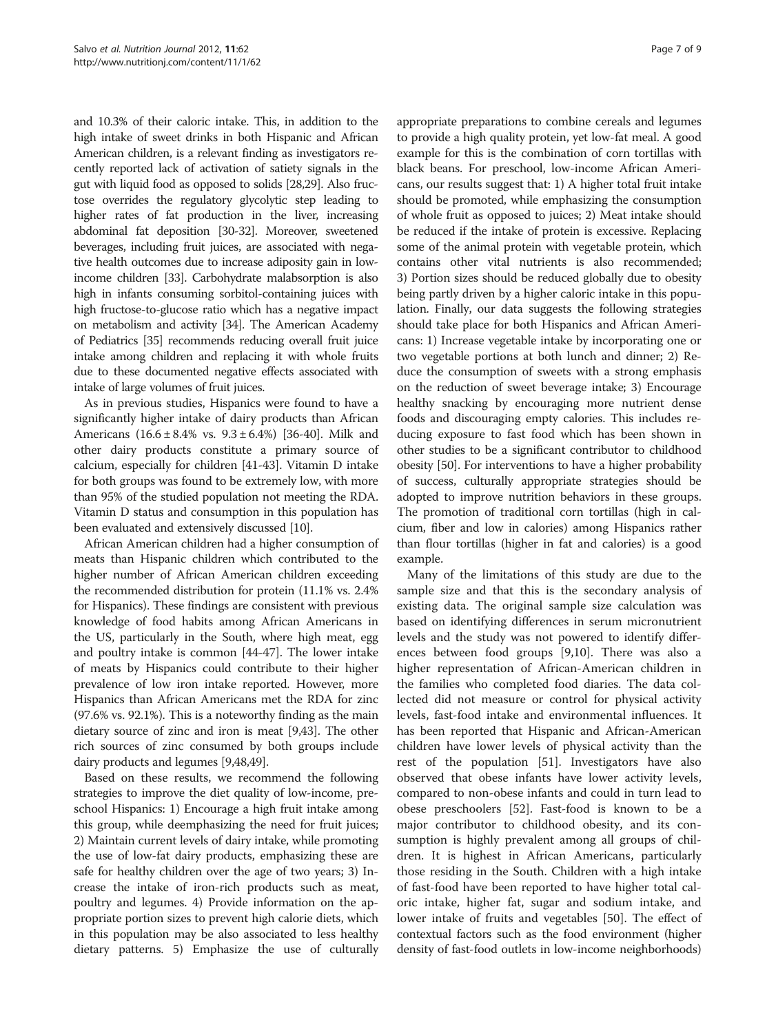and 10.3% of their caloric intake. This, in addition to the high intake of sweet drinks in both Hispanic and African American children, is a relevant finding as investigators recently reported lack of activation of satiety signals in the gut with liquid food as opposed to solids [\[28,29](#page-8-0)]. Also fructose overrides the regulatory glycolytic step leading to higher rates of fat production in the liver, increasing abdominal fat deposition [\[30-32\]](#page-8-0). Moreover, sweetened beverages, including fruit juices, are associated with negative health outcomes due to increase adiposity gain in lowincome children [\[33](#page-8-0)]. Carbohydrate malabsorption is also high in infants consuming sorbitol-containing juices with high fructose-to-glucose ratio which has a negative impact on metabolism and activity [\[34\]](#page-8-0). The American Academy of Pediatrics [[35](#page-8-0)] recommends reducing overall fruit juice intake among children and replacing it with whole fruits due to these documented negative effects associated with intake of large volumes of fruit juices.

As in previous studies, Hispanics were found to have a significantly higher intake of dairy products than African Americans  $(16.6 \pm 8.4\% \text{ vs. } 9.3 \pm 6.4\%)$  [\[36-40\]](#page-8-0). Milk and other dairy products constitute a primary source of calcium, especially for children [[41](#page-8-0)-[43](#page-8-0)]. Vitamin D intake for both groups was found to be extremely low, with more than 95% of the studied population not meeting the RDA. Vitamin D status and consumption in this population has been evaluated and extensively discussed [\[10](#page-7-0)].

African American children had a higher consumption of meats than Hispanic children which contributed to the higher number of African American children exceeding the recommended distribution for protein (11.1% vs. 2.4% for Hispanics). These findings are consistent with previous knowledge of food habits among African Americans in the US, particularly in the South, where high meat, egg and poultry intake is common [[44-47\]](#page-8-0). The lower intake of meats by Hispanics could contribute to their higher prevalence of low iron intake reported. However, more Hispanics than African Americans met the RDA for zinc (97.6% vs. 92.1%). This is a noteworthy finding as the main dietary source of zinc and iron is meat [\[9](#page-7-0)[,43\]](#page-8-0). The other rich sources of zinc consumed by both groups include dairy products and legumes [[9,](#page-7-0)[48,49](#page-8-0)].

Based on these results, we recommend the following strategies to improve the diet quality of low-income, preschool Hispanics: 1) Encourage a high fruit intake among this group, while deemphasizing the need for fruit juices; 2) Maintain current levels of dairy intake, while promoting the use of low-fat dairy products, emphasizing these are safe for healthy children over the age of two years; 3) Increase the intake of iron-rich products such as meat, poultry and legumes. 4) Provide information on the appropriate portion sizes to prevent high calorie diets, which in this population may be also associated to less healthy dietary patterns. 5) Emphasize the use of culturally

appropriate preparations to combine cereals and legumes to provide a high quality protein, yet low-fat meal. A good example for this is the combination of corn tortillas with black beans. For preschool, low-income African Americans, our results suggest that: 1) A higher total fruit intake should be promoted, while emphasizing the consumption of whole fruit as opposed to juices; 2) Meat intake should be reduced if the intake of protein is excessive. Replacing some of the animal protein with vegetable protein, which contains other vital nutrients is also recommended; 3) Portion sizes should be reduced globally due to obesity being partly driven by a higher caloric intake in this population. Finally, our data suggests the following strategies should take place for both Hispanics and African Americans: 1) Increase vegetable intake by incorporating one or two vegetable portions at both lunch and dinner; 2) Reduce the consumption of sweets with a strong emphasis on the reduction of sweet beverage intake; 3) Encourage healthy snacking by encouraging more nutrient dense foods and discouraging empty calories. This includes reducing exposure to fast food which has been shown in other studies to be a significant contributor to childhood obesity [[50](#page-8-0)]. For interventions to have a higher probability of success, culturally appropriate strategies should be adopted to improve nutrition behaviors in these groups. The promotion of traditional corn tortillas (high in calcium, fiber and low in calories) among Hispanics rather than flour tortillas (higher in fat and calories) is a good example.

Many of the limitations of this study are due to the sample size and that this is the secondary analysis of existing data. The original sample size calculation was based on identifying differences in serum micronutrient levels and the study was not powered to identify differences between food groups [\[9](#page-7-0),[10](#page-7-0)]. There was also a higher representation of African-American children in the families who completed food diaries. The data collected did not measure or control for physical activity levels, fast-food intake and environmental influences. It has been reported that Hispanic and African-American children have lower levels of physical activity than the rest of the population [[51\]](#page-8-0). Investigators have also observed that obese infants have lower activity levels, compared to non-obese infants and could in turn lead to obese preschoolers [[52\]](#page-8-0). Fast-food is known to be a major contributor to childhood obesity, and its consumption is highly prevalent among all groups of children. It is highest in African Americans, particularly those residing in the South. Children with a high intake of fast-food have been reported to have higher total caloric intake, higher fat, sugar and sodium intake, and lower intake of fruits and vegetables [\[50](#page-8-0)]. The effect of contextual factors such as the food environment (higher density of fast-food outlets in low-income neighborhoods)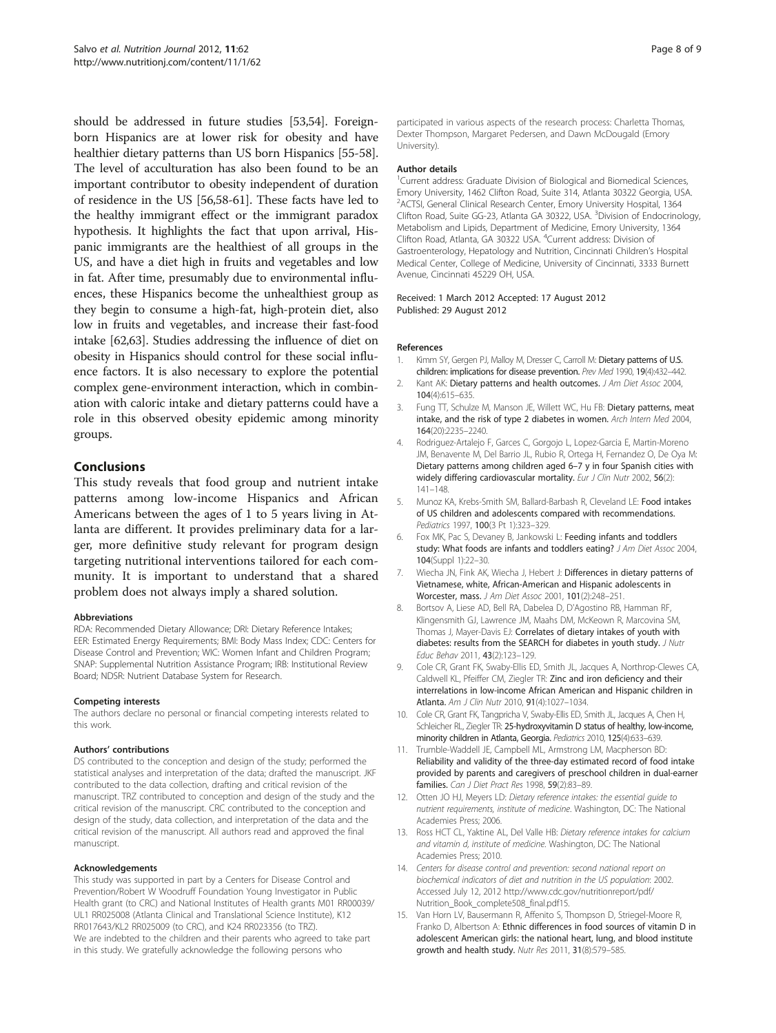<span id="page-7-0"></span>should be addressed in future studies [\[53,54](#page-8-0)]. Foreignborn Hispanics are at lower risk for obesity and have healthier dietary patterns than US born Hispanics [[55](#page-8-0)-[58](#page-8-0)]. The level of acculturation has also been found to be an important contributor to obesity independent of duration of residence in the US [\[56,58](#page-8-0)-[61](#page-8-0)]. These facts have led to the healthy immigrant effect or the immigrant paradox hypothesis. It highlights the fact that upon arrival, Hispanic immigrants are the healthiest of all groups in the US, and have a diet high in fruits and vegetables and low in fat. After time, presumably due to environmental influences, these Hispanics become the unhealthiest group as they begin to consume a high-fat, high-protein diet, also low in fruits and vegetables, and increase their fast-food intake [\[62,63\]](#page-8-0). Studies addressing the influence of diet on obesity in Hispanics should control for these social influence factors. It is also necessary to explore the potential complex gene-environment interaction, which in combination with caloric intake and dietary patterns could have a role in this observed obesity epidemic among minority groups.

## Conclusions

This study reveals that food group and nutrient intake patterns among low-income Hispanics and African Americans between the ages of 1 to 5 years living in Atlanta are different. It provides preliminary data for a larger, more definitive study relevant for program design targeting nutritional interventions tailored for each community. It is important to understand that a shared problem does not always imply a shared solution.

#### Abbreviations

RDA: Recommended Dietary Allowance; DRI: Dietary Reference Intakes; EER: Estimated Energy Requirements; BMI: Body Mass Index; CDC: Centers for Disease Control and Prevention; WIC: Women Infant and Children Program; SNAP: Supplemental Nutrition Assistance Program; IRB: Institutional Review Board; NDSR: Nutrient Database System for Research.

#### Competing interests

The authors declare no personal or financial competing interests related to this work.

#### Authors' contributions

DS contributed to the conception and design of the study; performed the statistical analyses and interpretation of the data; drafted the manuscript. JKF contributed to the data collection, drafting and critical revision of the manuscript. TRZ contributed to conception and design of the study and the critical revision of the manuscript. CRC contributed to the conception and design of the study, data collection, and interpretation of the data and the critical revision of the manuscript. All authors read and approved the final manuscript.

#### Acknowledgements

This study was supported in part by a Centers for Disease Control and Prevention/Robert W Woodruff Foundation Young Investigator in Public Health grant (to CRC) and National Institutes of Health grants M01 RR00039/ UL1 RR025008 (Atlanta Clinical and Translational Science Institute), K12 RR017643/KL2 RR025009 (to CRC), and K24 RR023356 (to TRZ). We are indebted to the children and their parents who agreed to take part in this study. We gratefully acknowledge the following persons who

participated in various aspects of the research process: Charletta Thomas, Dexter Thompson, Margaret Pedersen, and Dawn McDougald (Emory University).

#### Author details

<sup>1</sup>Current address: Graduate Division of Biological and Biomedical Sciences Emory University, 1462 Clifton Road, Suite 314, Atlanta 30322 Georgia, USA. <sup>2</sup> ACTSI, General Clinical Research Center, Emory University Hospital, 1364 Clifton Road, Suite GG-23, Atlanta GA 30322, USA. <sup>3</sup> Division of Endocrinology, Metabolism and Lipids, Department of Medicine, Emory University, 1364 Clifton Road, Atlanta, GA 30322 USA. <sup>4</sup>Current address: Division of Gastroenterology, Hepatology and Nutrition, Cincinnati Children's Hospital Medical Center, College of Medicine, University of Cincinnati, 3333 Burnett Avenue, Cincinnati 45229 OH, USA.

#### Received: 1 March 2012 Accepted: 17 August 2012 Published: 29 August 2012

#### References

- 1. Kimm SY, Gergen PJ, Malloy M, Dresser C, Carroll M: Dietary patterns of U.S. children: implications for disease prevention. Prev Med 1990, 19(4):432–442.
- 2. Kant AK: Dietary patterns and health outcomes. J Am Diet Assoc 2004, 104(4):615–635.
- 3. Fung TT, Schulze M, Manson JE, Willett WC, Hu FB: Dietary patterns, meat intake, and the risk of type 2 diabetes in women. Arch Intern Med 2004, 164(20):2235–2240.
- 4. Rodriguez-Artalejo F, Garces C, Gorgojo L, Lopez-Garcia E, Martin-Moreno JM, Benavente M, Del Barrio JL, Rubio R, Ortega H, Fernandez O, De Oya M: Dietary patterns among children aged 6–7 y in four Spanish cities with widely differing cardiovascular mortality. Eur J Clin Nutr 2002, 56(2): 141–148.
- 5. Munoz KA, Krebs-Smith SM, Ballard-Barbash R, Cleveland LE: Food intakes of US children and adolescents compared with recommendations. Pediatrics 1997, 100(3 Pt 1):323–329.
- 6. Fox MK, Pac S, Devaney B, Jankowski L: Feeding infants and toddlers study: What foods are infants and toddlers eating? J Am Diet Assoc 2004, 104(Suppl 1):22–30.
- 7. Wiecha JN, Fink AK, Wiecha J, Hebert J: Differences in dietary patterns of Vietnamese, white, African-American and Hispanic adolescents in Worcester, mass. J Am Diet Assoc 2001, 101(2):248–251.
- 8. Bortsov A, Liese AD, Bell RA, Dabelea D, D'Agostino RB, Hamman RF, Klingensmith GJ, Lawrence JM, Maahs DM, McKeown R, Marcovina SM, Thomas J, Mayer-Davis EJ: Correlates of dietary intakes of youth with diabetes: results from the SEARCH for diabetes in youth study. J Nutr Educ Behav 2011, 43(2):123–129.
- 9. Cole CR, Grant FK, Swaby-Ellis ED, Smith JL, Jacques A, Northrop-Clewes CA, Caldwell KL, Pfeiffer CM, Ziegler TR: Zinc and iron deficiency and their interrelations in low-income African American and Hispanic children in Atlanta. Am J Clin Nutr 2010, 91(4):1027–1034.
- 10. Cole CR, Grant FK, Tangpricha V, Swaby-Ellis ED, Smith JL, Jacques A, Chen H, Schleicher RL, Ziegler TR: 25-hydroxyvitamin D status of healthy, low-income, minority children in Atlanta, Georgia. Pediatrics 2010, 125(4):633–639.
- 11. Trumble-Waddell JE, Campbell ML, Armstrong LM, Macpherson BD: Reliability and validity of the three-day estimated record of food intake provided by parents and caregivers of preschool children in dual-earner families. Can J Diet Pract Res 1998, 59(2):83–89.
- 12. Otten JO HJ, Meyers LD: Dietary reference intakes: the essential guide to nutrient requirements, institute of medicine. Washington, DC: The National Academies Press; 2006.
- 13. Ross HCT CL, Yaktine AL, Del Valle HB: Dietary reference intakes for calcium and vitamin d, institute of medicine. Washington, DC: The National Academies Press; 2010.
- 14. Centers for disease control and prevention: second national report on biochemical indicators of diet and nutrition in the US population: 2002. Accessed July 12, 2012 [http://www.cdc.gov/nutritionreport/pdf/](http://www.cdc.gov/nutritionreport/pdf/Nutrition_Book_complete508_final.pdf15) [Nutrition\\_Book\\_complete508\\_final.pdf15](http://www.cdc.gov/nutritionreport/pdf/Nutrition_Book_complete508_final.pdf15).
- 15. Van Horn LV, Bausermann R, Affenito S, Thompson D, Striegel-Moore R, Franko D, Albertson A: Ethnic differences in food sources of vitamin D in adolescent American girls: the national heart, lung, and blood institute growth and health study. Nutr Res 2011, 31(8):579–585.